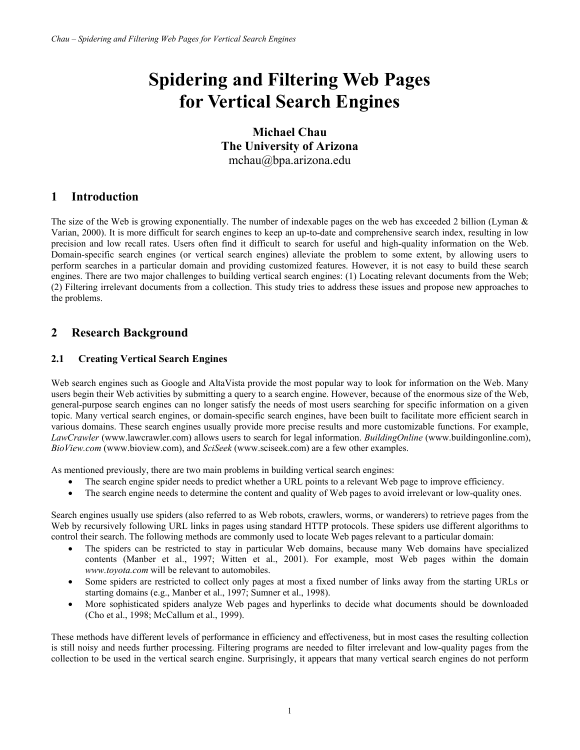# **Spidering and Filtering Web Pages for Vertical Search Engines**

**Michael Chau The University of Arizona**  mchau@bpa.arizona.edu

# **1 Introduction**

The size of the Web is growing exponentially. The number of indexable pages on the web has exceeded 2 billion (Lyman & Varian, 2000). It is more difficult for search engines to keep an up-to-date and comprehensive search index, resulting in low precision and low recall rates. Users often find it difficult to search for useful and high-quality information on the Web. Domain-specific search engines (or vertical search engines) alleviate the problem to some extent, by allowing users to perform searches in a particular domain and providing customized features. However, it is not easy to build these search engines. There are two major challenges to building vertical search engines: (1) Locating relevant documents from the Web; (2) Filtering irrelevant documents from a collection. This study tries to address these issues and propose new approaches to the problems.

# **2 Research Background**

## **2.1 Creating Vertical Search Engines**

Web search engines such as Google and AltaVista provide the most popular way to look for information on the Web. Many users begin their Web activities by submitting a query to a search engine. However, because of the enormous size of the Web, general-purpose search engines can no longer satisfy the needs of most users searching for specific information on a given topic. Many vertical search engines, or domain-specific search engines, have been built to facilitate more efficient search in various domains. These search engines usually provide more precise results and more customizable functions. For example, *LawCrawler* (www.lawcrawler.com) allows users to search for legal information. *BuildingOnline* (www.buildingonline.com), *BioView.com* (www.bioview.com), and *SciSeek* (www.sciseek.com) are a few other examples.

As mentioned previously, there are two main problems in building vertical search engines:

- The search engine spider needs to predict whether a URL points to a relevant Web page to improve efficiency.
- The search engine needs to determine the content and quality of Web pages to avoid irrelevant or low-quality ones.

Search engines usually use spiders (also referred to as Web robots, crawlers, worms, or wanderers) to retrieve pages from the Web by recursively following URL links in pages using standard HTTP protocols. These spiders use different algorithms to control their search. The following methods are commonly used to locate Web pages relevant to a particular domain:

- The spiders can be restricted to stay in particular Web domains, because many Web domains have specialized contents (Manber et al., 1997; Witten et al., 2001). For example, most Web pages within the domain *www.toyota.com* will be relevant to automobiles.
- Some spiders are restricted to collect only pages at most a fixed number of links away from the starting URLs or starting domains (e.g., Manber et al., 1997; Sumner et al., 1998).
- More sophisticated spiders analyze Web pages and hyperlinks to decide what documents should be downloaded (Cho et al., 1998; McCallum et al., 1999).

These methods have different levels of performance in efficiency and effectiveness, but in most cases the resulting collection is still noisy and needs further processing. Filtering programs are needed to filter irrelevant and low-quality pages from the collection to be used in the vertical search engine. Surprisingly, it appears that many vertical search engines do not perform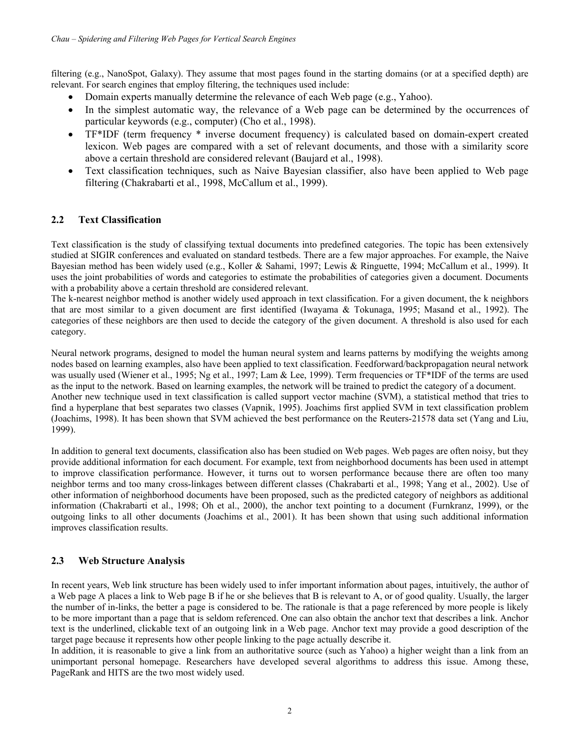filtering (e.g., NanoSpot, Galaxy). They assume that most pages found in the starting domains (or at a specified depth) are relevant. For search engines that employ filtering, the techniques used include:

- Domain experts manually determine the relevance of each Web page (e.g., Yahoo).
- In the simplest automatic way, the relevance of a Web page can be determined by the occurrences of particular keywords (e.g., computer) (Cho et al., 1998).
- TF\*IDF (term frequency \* inverse document frequency) is calculated based on domain-expert created lexicon. Web pages are compared with a set of relevant documents, and those with a similarity score above a certain threshold are considered relevant (Baujard et al., 1998).
- Text classification techniques, such as Naive Bayesian classifier, also have been applied to Web page filtering (Chakrabarti et al., 1998, McCallum et al., 1999).

#### **2.2 Text Classification**

Text classification is the study of classifying textual documents into predefined categories. The topic has been extensively studied at SIGIR conferences and evaluated on standard testbeds. There are a few major approaches. For example, the Naive Bayesian method has been widely used (e.g., Koller & Sahami, 1997; Lewis & Ringuette, 1994; McCallum et al., 1999). It uses the joint probabilities of words and categories to estimate the probabilities of categories given a document. Documents with a probability above a certain threshold are considered relevant.

The k-nearest neighbor method is another widely used approach in text classification. For a given document, the k neighbors that are most similar to a given document are first identified (Iwayama & Tokunaga, 1995; Masand et al., 1992). The categories of these neighbors are then used to decide the category of the given document. A threshold is also used for each category.

Neural network programs, designed to model the human neural system and learns patterns by modifying the weights among nodes based on learning examples, also have been applied to text classification. Feedforward/backpropagation neural network was usually used (Wiener et al., 1995; Ng et al., 1997; Lam & Lee, 1999). Term frequencies or TF\*IDF of the terms are used as the input to the network. Based on learning examples, the network will be trained to predict the category of a document. Another new technique used in text classification is called support vector machine (SVM), a statistical method that tries to find a hyperplane that best separates two classes (Vapnik, 1995). Joachims first applied SVM in text classification problem (Joachims, 1998). It has been shown that SVM achieved the best performance on the Reuters-21578 data set (Yang and Liu, 1999).

In addition to general text documents, classification also has been studied on Web pages. Web pages are often noisy, but they provide additional information for each document. For example, text from neighborhood documents has been used in attempt to improve classification performance. However, it turns out to worsen performance because there are often too many neighbor terms and too many cross-linkages between different classes (Chakrabarti et al., 1998; Yang et al., 2002). Use of other information of neighborhood documents have been proposed, such as the predicted category of neighbors as additional information (Chakrabarti et al., 1998; Oh et al., 2000), the anchor text pointing to a document (Furnkranz, 1999), or the outgoing links to all other documents (Joachims et al., 2001). It has been shown that using such additional information improves classification results.

#### **2.3 Web Structure Analysis**

In recent years, Web link structure has been widely used to infer important information about pages, intuitively, the author of a Web page A places a link to Web page B if he or she believes that B is relevant to A, or of good quality. Usually, the larger the number of in-links, the better a page is considered to be. The rationale is that a page referenced by more people is likely to be more important than a page that is seldom referenced. One can also obtain the anchor text that describes a link. Anchor text is the underlined, clickable text of an outgoing link in a Web page. Anchor text may provide a good description of the target page because it represents how other people linking to the page actually describe it.

In addition, it is reasonable to give a link from an authoritative source (such as Yahoo) a higher weight than a link from an unimportant personal homepage. Researchers have developed several algorithms to address this issue. Among these, PageRank and HITS are the two most widely used.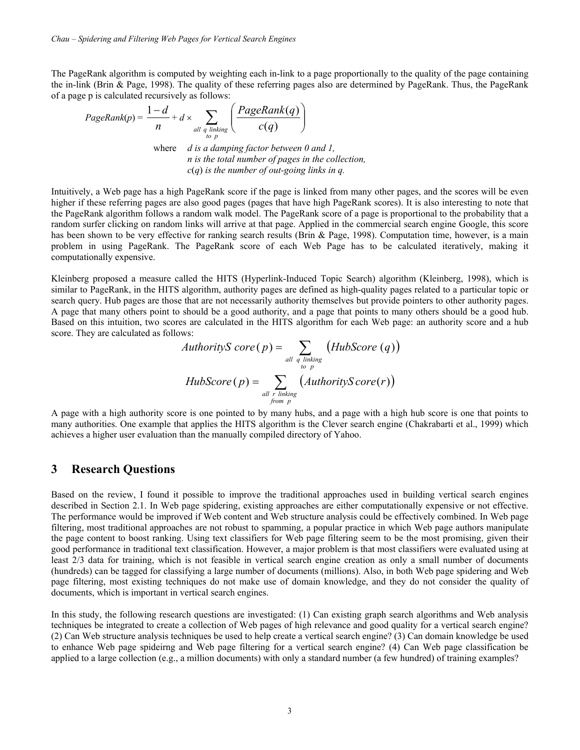The PageRank algorithm is computed by weighting each in-link to a page proportionally to the quality of the page containing the in-link (Brin & Page, 1998). The quality of these referring pages also are determined by PageRank. Thus, the PageRank of a page p is calculated recursively as follows:

PageRank(p) = 
$$
\frac{1-d}{n} + d \times \sum_{\substack{all \text{ q linking} \\ \text{to p}}} \left( \frac{PageRank(q)}{c(q)} \right)
$$
where *d* is a damping factor between 0.4

where *d is a damping factor between 0 and 1, n is the total number of pages in the collection, c*(*q*) *is the number of out-going links in q.*

Intuitively, a Web page has a high PageRank score if the page is linked from many other pages, and the scores will be even higher if these referring pages are also good pages (pages that have high PageRank scores). It is also interesting to note that the PageRank algorithm follows a random walk model. The PageRank score of a page is proportional to the probability that a random surfer clicking on random links will arrive at that page. Applied in the commercial search engine Google, this score has been shown to be very effective for ranking search results (Brin & Page, 1998). Computation time, however, is a main problem in using PageRank. The PageRank score of each Web Page has to be calculated iteratively, making it computationally expensive.

Kleinberg proposed a measure called the HITS (Hyperlink-Induced Topic Search) algorithm (Kleinberg, 1998), which is similar to PageRank, in the HITS algorithm, authority pages are defined as high-quality pages related to a particular topic or search query. Hub pages are those that are not necessarily authority themselves but provide pointers to other authority pages. A page that many others point to should be a good authority, and a page that points to many others should be a good hub. Based on this intuition, two scores are calculated in the HITS algorithm for each Web page: an authority score and a hub score. They are calculated as follows:

*AuthorityS core* (*p*) = 
$$
\sum_{all \text{ } q \text{ } limits \atop \text{ } top}} (HubScore(q))
$$
  
*HubScore* (*p*) = 
$$
\sum_{all \text{ } r \text{ } limits \atop \text{ } from \text{ } p} (AuthorityScore(r))
$$

A page with a high authority score is one pointed to by many hubs, and a page with a high hub score is one that points to many authorities. One example that applies the HITS algorithm is the Clever search engine (Chakrabarti et al., 1999) which achieves a higher user evaluation than the manually compiled directory of Yahoo.

### **3 Research Questions**

Based on the review, I found it possible to improve the traditional approaches used in building vertical search engines described in Section 2.1. In Web page spidering, existing approaches are either computationally expensive or not effective. The performance would be improved if Web content and Web structure analysis could be effectively combined. In Web page filtering, most traditional approaches are not robust to spamming, a popular practice in which Web page authors manipulate the page content to boost ranking. Using text classifiers for Web page filtering seem to be the most promising, given their good performance in traditional text classification. However, a major problem is that most classifiers were evaluated using at least 2/3 data for training, which is not feasible in vertical search engine creation as only a small number of documents (hundreds) can be tagged for classifying a large number of documents (millions). Also, in both Web page spidering and Web page filtering, most existing techniques do not make use of domain knowledge, and they do not consider the quality of documents, which is important in vertical search engines.

In this study, the following research questions are investigated: (1) Can existing graph search algorithms and Web analysis techniques be integrated to create a collection of Web pages of high relevance and good quality for a vertical search engine? (2) Can Web structure analysis techniques be used to help create a vertical search engine? (3) Can domain knowledge be used to enhance Web page spideirng and Web page filtering for a vertical search engine? (4) Can Web page classification be applied to a large collection (e.g., a million documents) with only a standard number (a few hundred) of training examples?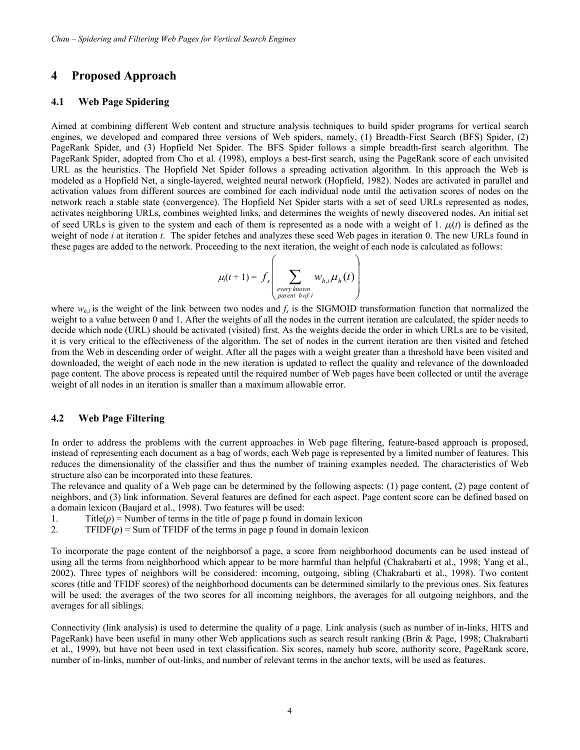## **4 Proposed Approach**

#### **4.1 Web Page Spidering**

Aimed at combining different Web content and structure analysis techniques to build spider programs for vertical search engines, we developed and compared three versions of Web spiders, namely, (1) Breadth-First Search (BFS) Spider, (2) PageRank Spider, and (3) Hopfield Net Spider. The BFS Spider follows a simple breadth-first search algorithm. The PageRank Spider, adopted from Cho et al. (1998), employs a best-first search, using the PageRank score of each unvisited URL as the heuristics. The Hopfield Net Spider follows a spreading activation algorithm. In this approach the Web is modeled as a Hopfield Net, a single-layered, weighted neural network (Hopfield, 1982). Nodes are activated in parallel and activation values from different sources are combined for each individual node until the activation scores of nodes on the network reach a stable state (convergence). The Hopfield Net Spider starts with a set of seed URLs represented as nodes, activates neighboring URLs, combines weighted links, and determines the weights of newly discovered nodes. An initial set of seed URLs is given to the system and each of them is represented as a node with a weight of 1.  $\mu(t)$  is defined as the weight of node *i* at iteration *t*. The spider fetches and analyzes these seed Web pages in iteration 0. The new URLs found in these pages are added to the network. Proceeding to the next iteration, the weight of each node is calculated as follows:

$$
\mu_i(t+1) = f_s\left(\sum_{\substack{\text{every known} \\ \text{parent hof } i}} w_{h,i} \mu_h(t)\right)
$$

where  $w_{hi}$  is the weight of the link between two nodes and  $f_s$  is the SIGMOID transformation function that normalized the weight to a value between 0 and 1. After the weights of all the nodes in the current iteration are calculated, the spider needs to decide which node (URL) should be activated (visited) first. As the weights decide the order in which URLs are to be visited, it is very critical to the effectiveness of the algorithm. The set of nodes in the current iteration are then visited and fetched from the Web in descending order of weight. After all the pages with a weight greater than a threshold have been visited and downloaded, the weight of each node in the new iteration is updated to reflect the quality and relevance of the downloaded page content. The above process is repeated until the required number of Web pages have been collected or until the average weight of all nodes in an iteration is smaller than a maximum allowable error.

#### **4.2 Web Page Filtering**

In order to address the problems with the current approaches in Web page filtering, feature-based approach is proposed, instead of representing each document as a bag of words, each Web page is represented by a limited number of features. This reduces the dimensionality of the classifier and thus the number of training examples needed. The characteristics of Web structure also can be incorporated into these features.

The relevance and quality of a Web page can be determined by the following aspects: (1) page content, (2) page content of neighbors, and (3) link information. Several features are defined for each aspect. Page content score can be defined based on a domain lexicon (Baujard et al., 1998). Two features will be used:

- 1. Title $(p)$  = Number of terms in the title of page p found in domain lexicon
- 2. TFIDF $(p)$  = Sum of TFIDF of the terms in page p found in domain lexicon

To incorporate the page content of the neighborsof a page, a score from neighborhood documents can be used instead of using all the terms from neighborhood which appear to be more harmful than helpful (Chakrabarti et al., 1998; Yang et al., 2002). Three types of neighbors will be considered: incoming, outgoing, sibling (Chakrabarti et al., 1998). Two content scores (title and TFIDF scores) of the neighborhood documents can be determined similarly to the previous ones. Six features will be used: the averages of the two scores for all incoming neighbors, the averages for all outgoing neighbors, and the averages for all siblings.

Connectivity (link analysis) is used to determine the quality of a page. Link analysis (such as number of in-links, HITS and PageRank) have been useful in many other Web applications such as search result ranking (Brin & Page, 1998; Chakrabarti et al., 1999), but have not been used in text classification. Six scores, namely hub score, authority score, PageRank score, number of in-links, number of out-links, and number of relevant terms in the anchor texts, will be used as features.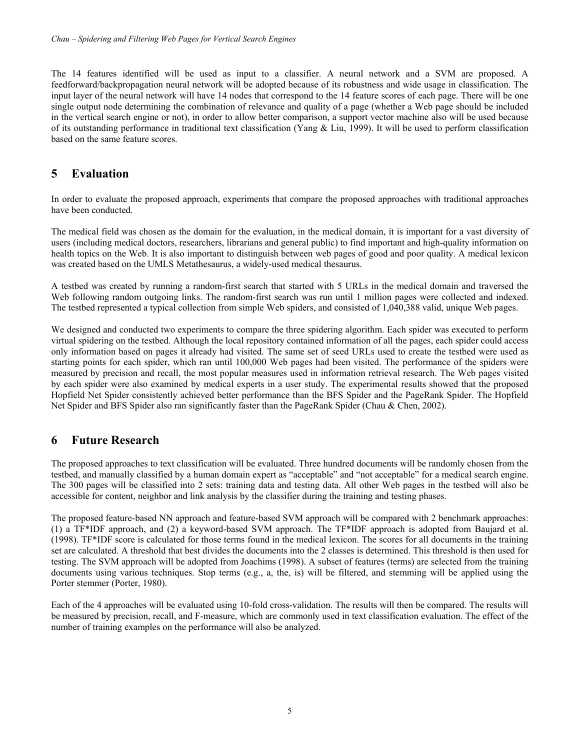The 14 features identified will be used as input to a classifier. A neural network and a SVM are proposed. A feedforward/backpropagation neural network will be adopted because of its robustness and wide usage in classification. The input layer of the neural network will have 14 nodes that correspond to the 14 feature scores of each page. There will be one single output node determining the combination of relevance and quality of a page (whether a Web page should be included in the vertical search engine or not), in order to allow better comparison, a support vector machine also will be used because of its outstanding performance in traditional text classification (Yang & Liu, 1999). It will be used to perform classification based on the same feature scores.

# **5 Evaluation**

In order to evaluate the proposed approach, experiments that compare the proposed approaches with traditional approaches have been conducted.

The medical field was chosen as the domain for the evaluation, in the medical domain, it is important for a vast diversity of users (including medical doctors, researchers, librarians and general public) to find important and high-quality information on health topics on the Web. It is also important to distinguish between web pages of good and poor quality. A medical lexicon was created based on the UMLS Metathesaurus, a widely-used medical thesaurus.

A testbed was created by running a random-first search that started with 5 URLs in the medical domain and traversed the Web following random outgoing links. The random-first search was run until 1 million pages were collected and indexed. The testbed represented a typical collection from simple Web spiders, and consisted of 1,040,388 valid, unique Web pages.

We designed and conducted two experiments to compare the three spidering algorithm. Each spider was executed to perform virtual spidering on the testbed. Although the local repository contained information of all the pages, each spider could access only information based on pages it already had visited. The same set of seed URLs used to create the testbed were used as starting points for each spider, which ran until 100,000 Web pages had been visited. The performance of the spiders were measured by precision and recall, the most popular measures used in information retrieval research. The Web pages visited by each spider were also examined by medical experts in a user study. The experimental results showed that the proposed Hopfield Net Spider consistently achieved better performance than the BFS Spider and the PageRank Spider. The Hopfield Net Spider and BFS Spider also ran significantly faster than the PageRank Spider (Chau & Chen, 2002).

## **6 Future Research**

The proposed approaches to text classification will be evaluated. Three hundred documents will be randomly chosen from the testbed, and manually classified by a human domain expert as "acceptable" and "not acceptable" for a medical search engine. The 300 pages will be classified into 2 sets: training data and testing data. All other Web pages in the testbed will also be accessible for content, neighbor and link analysis by the classifier during the training and testing phases.

The proposed feature-based NN approach and feature-based SVM approach will be compared with 2 benchmark approaches: (1) a TF\*IDF approach, and (2) a keyword-based SVM approach. The TF\*IDF approach is adopted from Baujard et al. (1998). TF\*IDF score is calculated for those terms found in the medical lexicon. The scores for all documents in the training set are calculated. A threshold that best divides the documents into the 2 classes is determined. This threshold is then used for testing. The SVM approach will be adopted from Joachims (1998). A subset of features (terms) are selected from the training documents using various techniques. Stop terms (e.g., a, the, is) will be filtered, and stemming will be applied using the Porter stemmer (Porter, 1980).

Each of the 4 approaches will be evaluated using 10-fold cross-validation. The results will then be compared. The results will be measured by precision, recall, and F-measure, which are commonly used in text classification evaluation. The effect of the number of training examples on the performance will also be analyzed.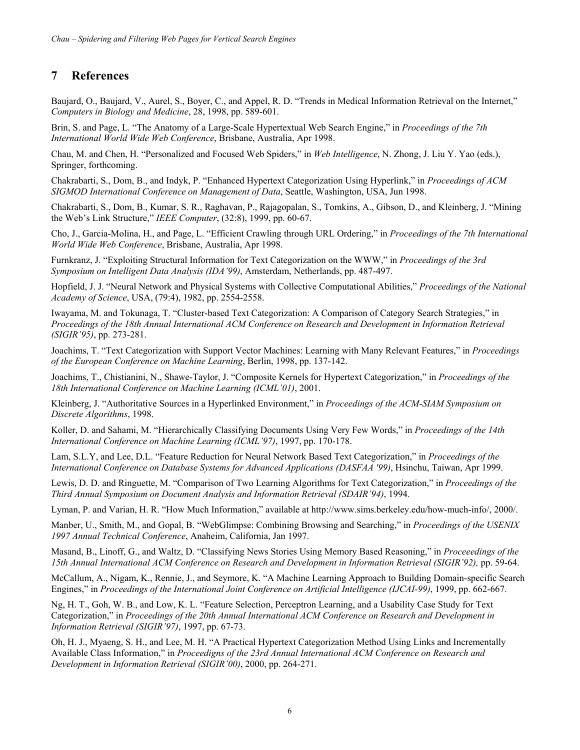# **7 References**

Baujard, O., Baujard, V., Aurel, S., Boyer, C., and Appel, R. D. "Trends in Medical Information Retrieval on the Internet," *Computers in Biology and Medicine*, 28, 1998, pp. 589-601.

Brin, S. and Page, L. "The Anatomy of a Large-Scale Hypertextual Web Search Engine," in *Proceedings of the 7th International World Wide Web Conference*, Brisbane, Australia, Apr 1998.

Chau, M. and Chen, H. "Personalized and Focused Web Spiders," in *Web Intelligence*, N. Zhong, J. Liu Y. Yao (eds.), Springer, forthcoming.

Chakrabarti, S., Dom, B., and Indyk, P. "Enhanced Hypertext Categorization Using Hyperlink," in *Proceedings of ACM SIGMOD International Conference on Management of Data*, Seattle, Washington, USA, Jun 1998.

Chakrabarti, S., Dom, B., Kumar, S. R., Raghavan, P., Rajagopalan, S., Tomkins, A., Gibson, D., and Kleinberg, J. "Mining the Web's Link Structure," *IEEE Computer*, (32:8), 1999, pp. 60-67.

Cho, J., Garcia-Molina, H., and Page, L. "Efficient Crawling through URL Ordering," in *Proceedings of the 7th International World Wide Web Conference*, Brisbane, Australia, Apr 1998.

Furnkranz, J. "Exploiting Structural Information for Text Categorization on the WWW," in *Proceedings of the 3rd Symposium on Intelligent Data Analysis (IDA'99)*, Amsterdam, Netherlands, pp. 487-497.

Hopfield, J. J. "Neural Network and Physical Systems with Collective Computational Abilities," *Proceedings of the National Academy of Science*, USA, (79:4), 1982, pp. 2554-2558.

Iwayama, M. and Tokunaga, T. "Cluster-based Text Categorization: A Comparison of Category Search Strategies," in *Proceedings of the 18th Annual International ACM Conference on Research and Development in Information Retrieval (SIGIR'95)*, pp. 273-281.

Joachims, T. "Text Categorization with Support Vector Machines: Learning with Many Relevant Features," in *Proceedings of the European Conference on Machine Learning*, Berlin, 1998, pp. 137-142.

Joachims, T., Chistianini, N., Shawe-Taylor, J. "Composite Kernels for Hypertext Categorization," in *Proceedings of the 18th International Conference on Machine Learning (ICML'01)*, 2001.

Kleinberg, J. "Authoritative Sources in a Hyperlinked Environment," in *Proceedings of the ACM-SIAM Symposium on Discrete Algorithms*, 1998.

Koller, D. and Sahami, M. "Hierarchically Classifying Documents Using Very Few Words," in *Proceedings of the 14th International Conference on Machine Learning (ICML'97)*, 1997, pp. 170-178.

Lam, S.L.Y, and Lee, D.L. "Feature Reduction for Neural Network Based Text Categorization," in *Proceedings of the International Conference on Database Systems for Advanced Applications (DASFAA '99)*, Hsinchu, Taiwan, Apr 1999.

Lewis, D. D. and Ringuette, M. "Comparison of Two Learning Algorithms for Text Categorization," in *Proceedings of the Third Annual Symposium on Document Analysis and Information Retrieval (SDAIR'94)*, 1994.

Lyman, P. and Varian, H. R. "How Much Information," available at http://www.sims.berkeley.edu/how-much-info/, 2000/.

Manber, U., Smith, M., and Gopal, B. "WebGlimpse: Combining Browsing and Searching," in *Proceedings of the USENIX 1997 Annual Technical Conference*, Anaheim, California, Jan 1997.

Masand, B., Linoff, G., and Waltz, D. "Classifying News Stories Using Memory Based Reasoning," in *Proceeedings of the 15th Annual International ACM Conference on Research and Development in Information Retrieval (SIGIR'92),* pp. 59-64.

McCallum, A., Nigam, K., Rennie, J., and Seymore, K. "A Machine Learning Approach to Building Domain-specific Search Engines," in *Proceedings of the International Joint Conference on Artificial Intelligence (IJCAI-99)*, 1999, pp. 662-667.

Ng, H. T., Goh, W. B., and Low, K. L. "Feature Selection, Perceptron Learning, and a Usability Case Study for Text Categorization," in *Proceedings of the 20th Annual International ACM Conference on Research and Development in Information Retrieval (SIGIR'97)*, 1997, pp. 67-73.

Oh, H. J., Myaeng, S. H., and Lee, M. H. "A Practical Hypertext Categorization Method Using Links and Incrementally Available Class Information," in *Proceedigns of the 23rd Annual International ACM Conference on Research and Development in Information Retrieval (SIGIR'00)*, 2000, pp. 264-271.